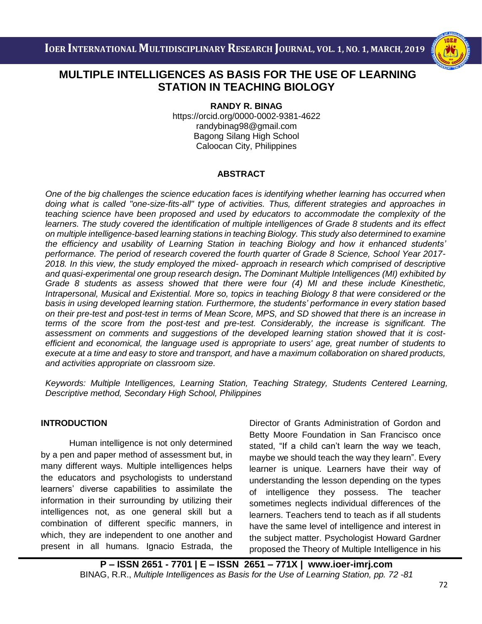

## i<br>I  **STATION IN TEACHING BIOLOGY MULTIPLE INTELLIGENCES AS BASIS FOR THE USE OF LEARNING**

**RANDY R. BINAG**

https://orcid.org/0000-0002-9381-4622 [randybinag98@gmail.com](mailto:randybinag98@gmail.com) Bagong Silang High School Caloocan City, Philippines

### **ABSTRACT**

*One of the big challenges the science education faces is identifying whether learning has occurred when doing what is called "one-size-fits-all" type of activities. Thus, different strategies and approaches in teaching science have been proposed and used by educators to accommodate the complexity of the learners. The study covered the identification of multiple intelligences of Grade 8 students and its effect on multiple intelligence-based learning stations in teaching Biology. This study also determined to examine the efficiency and usability of Learning Station in teaching Biology and how it enhanced students' performance. The period of research covered the fourth quarter of Grade 8 Science, School Year 2017- 2018. In this view, the study employed the mixed- approach in research which comprised of descriptive and quasi-experimental one group research design. The Dominant Multiple Intelligences (MI) exhibited by Grade 8 students as assess showed that there were four (4) MI and these include Kinesthetic, Intrapersonal, Musical and Existential. More so, topics in teaching Biology 8 that were considered or the basis in using developed learning station. Furthermore, the students' performance in every station based on their pre-test and post-test in terms of Mean Score, MPS, and SD showed that there is an increase in terms of the score from the post-test and pre-test. Considerably, the increase is significant. The assessment on comments and suggestions of the developed learning station showed that it is costefficient and economical, the language used is appropriate to users' age, great number of students to execute at a time and easy to store and transport, and have a maximum collaboration on shared products, and activities appropriate on classroom size.*

*Keywords: Multiple Intelligences, Learning Station, Teaching Strategy, Students Centered Learning, Descriptive method, Secondary High School, Philippines*

### **INTRODUCTION**

Human intelligence is not only determined by a pen and paper method of assessment but, in many different ways. Multiple intelligences helps the educators and psychologists to understand learners' diverse capabilities to assimilate the information in their surrounding by utilizing their intelligences not, as one general skill but a combination of different specific manners, in which, they are independent to one another and present in all humans. Ignacio Estrada, the

Director of Grants Administration of Gordon and Betty Moore Foundation in San Francisco once stated, "If a child can't learn the way we teach, maybe we should teach the way they learn". Every learner is unique. Learners have their way of understanding the lesson depending on the types of intelligence they possess. The teacher sometimes neglects individual differences of the learners. Teachers tend to teach as if all students have the same level of intelligence and interest in the subject matter. Psychologist Howard Gardner proposed the Theory of Multiple Intelligence in his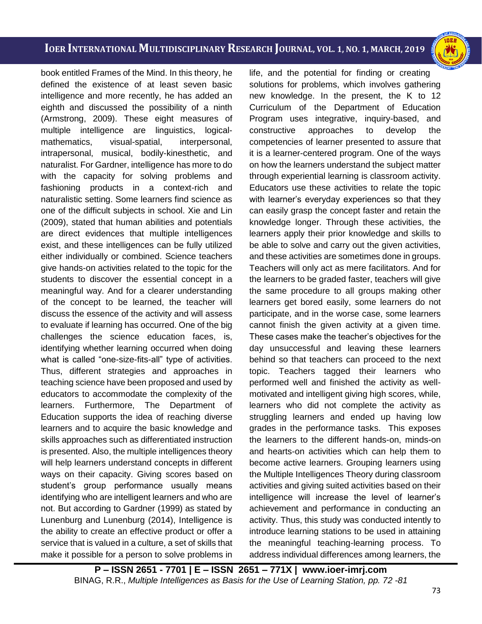i<br>I

book entitled Frames of the Mind. In this theory, he defined the existence of at least seven basic intelligence and more recently, he has added an eighth and discussed the possibility of a ninth (Armstrong, 2009). These eight measures of multiple intelligence are linguistics, logicalmathematics, visual-spatial, interpersonal, intrapersonal, musical, bodily-kinesthetic, and naturalist. For Gardner, intelligence has more to do with the capacity for solving problems and fashioning products in a context-rich and naturalistic setting. Some learners find science as one of the difficult subjects in school. Xie and Lin (2009), stated that human abilities and potentials are direct evidences that multiple intelligences exist, and these intelligences can be fully utilized either individually or combined. Science teachers give hands-on activities related to the topic for the students to discover the essential concept in a meaningful way. And for a clearer understanding of the concept to be learned, the teacher will discuss the essence of the activity and will assess to evaluate if learning has occurred. One of the big challenges the science education faces, is, identifying whether learning occurred when doing what is called "one-size-fits-all" type of activities. Thus, different strategies and approaches in teaching science have been proposed and used by educators to accommodate the complexity of the learners. Furthermore, The Department of Education supports the idea of reaching diverse learners and to acquire the basic knowledge and skills approaches such as differentiated instruction is presented. Also, the multiple intelligences theory will help learners understand concepts in different ways on their capacity. Giving scores based on student's group performance usually means identifying who are intelligent learners and who are not. But according to Gardner (1999) as stated by Lunenburg and Lunenburg (2014), Intelligence is the ability to create an effective product or offer a service that is valued in a culture, a set of skills that make it possible for a person to solve problems in

life, and the potential for finding or creating solutions for problems, which involves gathering new knowledge. In the present, the K to 12 Curriculum of the Department of Education Program uses integrative, inquiry-based, and constructive approaches to develop the competencies of learner presented to assure that it is a learner-centered program. One of the ways on how the learners understand the subject matter through experiential learning is classroom activity. Educators use these activities to relate the topic with learner's everyday experiences so that they can easily grasp the concept faster and retain the knowledge longer. Through these activities, the learners apply their prior knowledge and skills to be able to solve and carry out the given activities, and these activities are sometimes done in groups. Teachers will only act as mere facilitators. And for the learners to be graded faster, teachers will give the same procedure to all groups making other learners get bored easily, some learners do not participate, and in the worse case, some learners cannot finish the given activity at a given time. These cases make the teacher's objectives for the day unsuccessful and leaving these learners behind so that teachers can proceed to the next topic. Teachers tagged their learners who performed well and finished the activity as wellmotivated and intelligent giving high scores, while, learners who did not complete the activity as struggling learners and ended up having low grades in the performance tasks. This exposes the learners to the different hands-on, minds-on and hearts-on activities which can help them to become active learners. Grouping learners using the Multiple Intelligences Theory during classroom activities and giving suited activities based on their intelligence will increase the level of learner's achievement and performance in conducting an activity. Thus, this study was conducted intently to introduce learning stations to be used in attaining the meaningful teaching-learning process. To address individual differences among learners, the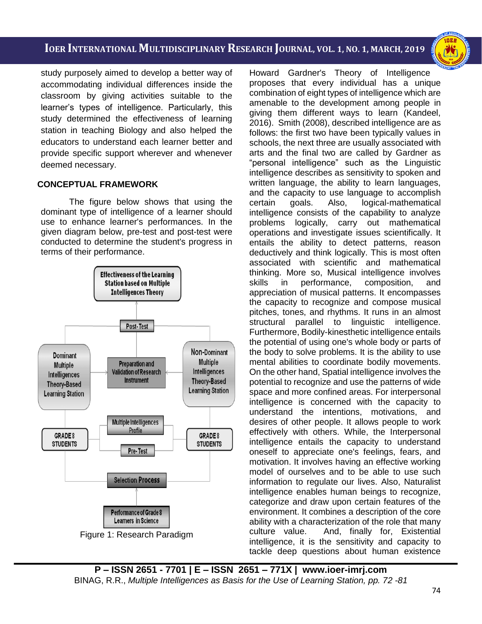i<br>I

study purposely aimed to develop a better way of accommodating individual differences inside the classroom by giving activities suitable to the learner's types of intelligence. Particularly, this study determined the effectiveness of learning station in teaching Biology and also helped the educators to understand each learner better and provide specific support wherever and whenever deemed necessary.

#### **CONCEPTUAL FRAMEWORK**

The figure below shows that using the dominant type of intelligence of a learner should use to enhance learner's performances. In the given diagram below, pre-test and post-test were conducted to determine the student's progress in terms of their performance.



Howard Gardner's Theory of Intelligence proposes that every individual has a unique combination of eight types of intelligence which are amenable to the development among people in giving them different ways to learn (Kandeel, 2016). Smith (2008), described intelligence are as follows: the first two have been typically values in schools, the next three are usually associated with arts and the final two are called by Gardner as "personal intelligence" such as the Linguistic intelligence describes as sensitivity to spoken and written language, the ability to learn languages, and the capacity to use language to accomplish certain goals. Also, logical-mathematical intelligence consists of the capability to analyze problems logically, carry out mathematical operations and investigate issues scientifically. It entails the ability to detect patterns, reason deductively and think logically. This is most often associated with scientific and mathematical thinking. More so, Musical intelligence involves skills in performance, composition, and appreciation of musical patterns. It encompasses the capacity to recognize and compose musical pitches, tones, and rhythms. It runs in an almost structural parallel to linguistic intelligence. Furthermore, Bodily-kinesthetic intelligence entails the potential of using one's whole body or parts of the body to solve problems. It is the ability to use mental abilities to coordinate bodily movements. On the other hand, Spatial intelligence involves the potential to recognize and use the patterns of wide space and more confined areas. For interpersonal intelligence is concerned with the capacity to understand the intentions, motivations, and desires of other people. It allows people to work effectively with others. While, the Interpersonal intelligence entails the capacity to understand oneself to appreciate one's feelings, fears, and motivation. It involves having an effective working model of ourselves and to be able to use such information to regulate our lives. Also, Naturalist intelligence enables human beings to recognize, categorize and draw upon certain features of the environment. It combines a description of the core ability with a characterization of the role that many culture value. And, finally for, Existential intelligence, it is the sensitivity and capacity to tackle deep questions about human existence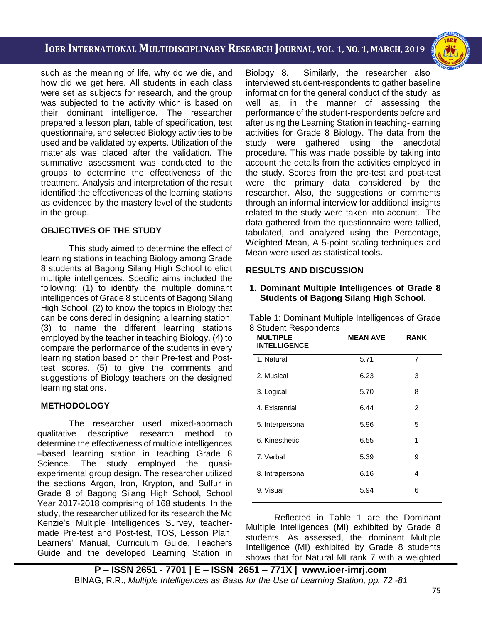i<br>I

such as the meaning of life, why do we die, and how did we get here. All students in each class were set as subjects for research, and the group was subjected to the activity which is based on their dominant intelligence. The researcher prepared a lesson plan, table of specification, test questionnaire, and selected Biology activities to be used and be validated by experts. Utilization of the materials was placed after the validation. The summative assessment was conducted to the groups to determine the effectiveness of the treatment. Analysis and interpretation of the result identified the effectiveness of the learning stations as evidenced by the mastery level of the students in the group.

### **OBJECTIVES OF THE STUDY**

This study aimed to determine the effect of learning stations in teaching Biology among Grade 8 students at Bagong Silang High School to elicit multiple intelligences. Specific aims included the following: (1) to identify the multiple dominant intelligences of Grade 8 students of Bagong Silang High School. (2) to know the topics in Biology that can be considered in designing a learning station. (3) to name the different learning stations employed by the teacher in teaching Biology. (4) to compare the performance of the students in every learning station based on their Pre-test and Posttest scores. (5) to give the comments and suggestions of Biology teachers on the designed learning stations.

#### **METHODOLOGY**

The researcher used mixed-approach qualitative descriptive research method to determine the effectiveness of multiple intelligences –based learning station in teaching Grade 8 Science. The study employed the quasiexperimental group design. The researcher utilized the sections Argon, Iron, Krypton, and Sulfur in Grade 8 of Bagong Silang High School, School Year 2017-2018 comprising of 168 students. In the study, the researcher utilized for its research the Mc Kenzie's Multiple Intelligences Survey, teachermade Pre-test and Post-test, TOS, Lesson Plan, Learners' Manual, Curriculum Guide, Teachers Guide and the developed Learning Station in

Biology 8. Similarly, the researcher also interviewed student-respondents to gather baseline information for the general conduct of the study, as well as, in the manner of assessing the performance of the student-respondents before and after using the Learning Station in teaching-learning activities for Grade 8 Biology. The data from the study were gathered using the anecdotal procedure. This was made possible by taking into account the details from the activities employed in the study. Scores from the pre-test and post-test were the primary data considered by the researcher. Also, the suggestions or comments through an informal interview for additional insights related to the study were taken into account. The data gathered from the questionnaire were tallied, tabulated, and analyzed using the Percentage, Weighted Mean, A 5-point scaling techniques and Mean were used as statistical tools**.**

### **RESULTS AND DISCUSSION**

#### **1. Dominant Multiple Intelligences of Grade 8 Students of Bagong Silang High School.**

| 8 Student Respondents<br><b>MULTIPLE</b><br><b>INTELLIGENCE</b> | <b>MEAN AVE</b> | <b>RANK</b> |
|-----------------------------------------------------------------|-----------------|-------------|
| 1. Natural                                                      | 5.71            | 7           |
| 2. Musical                                                      | 6.23            | 3           |
| 3. Logical                                                      | 5.70            | 8           |
| 4. Existential                                                  | 6.44            | 2           |
| 5. Interpersonal                                                | 5.96            | 5           |
| 6. Kinesthetic                                                  | 6.55            | 1           |
| 7. Verbal                                                       | 5.39            | 9           |
| 8. Intrapersonal                                                | 6.16            | 4           |

Table 1: Dominant Multiple Intelligences of Grade

Reflected in Table 1 are the Dominant Multiple Intelligences (MI) exhibited by Grade 8 students. As assessed, the dominant Multiple Intelligence (MI) exhibited by Grade 8 students shows that for Natural MI rank 7 with a weighted

9. Visual 5.94 6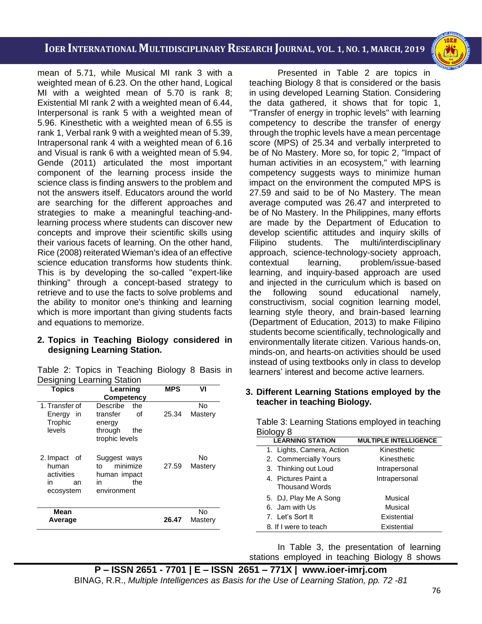i<br>I

mean of 5.71, while Musical MI rank 3 with a weighted mean of 6.23. On the other hand, Logical MI with a weighted mean of 5.70 is rank 8; Existential MI rank 2 with a weighted mean of 6.44, Interpersonal is rank 5 with a weighted mean of 5.96. Kinesthetic with a weighted mean of 6.55 is rank 1, Verbal rank 9 with a weighted mean of 5.39, Intrapersonal rank 4 with a weighted mean of 6.16 and Visual is rank 6 with a weighted mean of 5.94. Gende (2011) articulated the most important component of the learning process inside the science class is finding answers to the problem and not the answers itself. Educators around the world are searching for the different approaches and strategies to make a meaningful teaching-andlearning process where students can discover new concepts and improve their scientific skills using their various facets of learning. On the other hand, Rice (2008) reiterated Wieman's idea of an effective science education transforms how students think. This is by developing the so-called "expert-like thinking" through a concept-based strategy to retrieve and to use the facts to solve problems and the ability to monitor one's thinking and learning which is more important than giving students facts and equations to memorize.

### **2. Topics in Teaching Biology considered in designing Learning Station.**

Table 2: Topics in Teaching Biology 8 Basis in Designing Learning Station

| <b>Topics</b>                                                   | Learning                                                                   | <b>MPS</b> | VI            |
|-----------------------------------------------------------------|----------------------------------------------------------------------------|------------|---------------|
|                                                                 | Competency                                                                 |            |               |
| 1. Transfer of                                                  | Describe<br>the                                                            |            | No            |
| Energy<br>in                                                    | transfer<br>οf                                                             | 25.34      | Mastery       |
| Trophic                                                         | energy                                                                     |            |               |
| levels                                                          | through<br>the                                                             |            |               |
|                                                                 | trophic levels                                                             |            |               |
| 2. Impact<br>of<br>human<br>activities<br>in<br>an<br>ecosystem | Suggest ways<br>minimize<br>t٥<br>human impact<br>the<br>in<br>environment | 27.59      | No<br>Mastery |
| Mean<br>Average                                                 |                                                                            | 26.47      | No<br>Mastery |

Presented in Table 2 are topics in teaching Biology 8 that is considered or the basis in using developed Learning Station. Considering the data gathered, it shows that for topic 1, "Transfer of energy in trophic levels" with learning competency to describe the transfer of energy through the trophic levels have a mean percentage score (MPS) of 25.34 and verbally interpreted to be of No Mastery. More so, for topic 2, "Impact of human activities in an ecosystem," with learning competency suggests ways to minimize human impact on the environment the computed MPS is 27.59 and said to be of No Mastery. The mean average computed was 26.47 and interpreted to be of No Mastery. In the Philippines, many efforts are made by the Department of Education to develop scientific attitudes and inquiry skills of Filipino students. The multi/interdisciplinary approach, science-technology-society approach, contextual learning, problem/issue-based learning, and inquiry-based approach are used and injected in the curriculum which is based on the following sound educational namely, constructivism, social cognition learning model, learning style theory, and brain-based learning (Department of Education, 2013) to make Filipino students become scientifically, technologically and environmentally literate citizen. Various hands-on, minds-on, and hearts-on activities should be used instead of using textbooks only in class to develop learners' interest and become active learners.

#### **3. Different Learning Stations employed by the teacher in teaching Biology.**

| Table 3: Learning Stations employed in teaching |                              |  |  |  |
|-------------------------------------------------|------------------------------|--|--|--|
| Biology 8                                       |                              |  |  |  |
| <b>LEARNING STATION</b>                         | <b>MULTIPLE INTELLIGENCE</b> |  |  |  |

| <b>LEARNING STATION</b>                      | <b>MULTIPLE INTELLIGENCE</b> |
|----------------------------------------------|------------------------------|
| 1. Lights, Camera, Action                    | Kinesthetic                  |
| 2. Commercially Yours                        | Kinesthetic                  |
| 3. Thinking out Loud                         | Intrapersonal                |
| 4. Pictures Paint a<br><b>Thousand Words</b> | Intrapersonal                |
| 5. DJ, Play Me A Song                        | Musical                      |
| 6. Jam with Us                               | Musical                      |
| 7. Let's Sort It                             | Existential                  |
| 8. If I were to teach                        | Existential                  |

In Table 3, the presentation of learning stations employed in teaching Biology 8 shows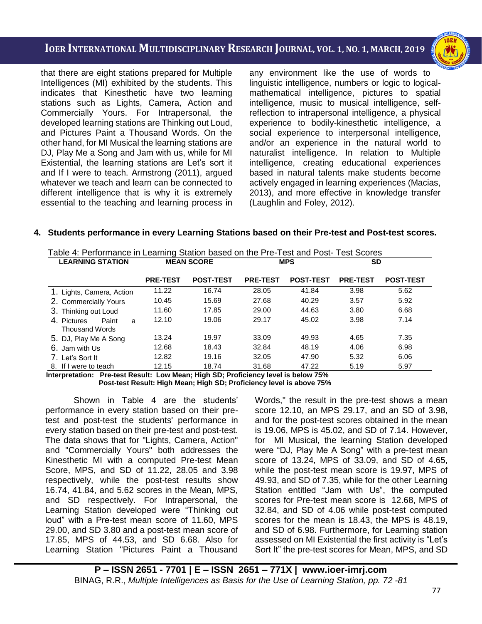i<br>I

that there are eight stations prepared for Multiple Intelligences (MI) exhibited by the students. This indicates that Kinesthetic have two learning stations such as Lights, Camera, Action and Commercially Yours. For Intrapersonal, the developed learning stations are Thinking out Loud, and Pictures Paint a Thousand Words. On the other hand, for MI Musical the learning stations are DJ, Play Me a Song and Jam with us, while for MI Existential, the learning stations are Let's sort it and If I were to teach. Armstrong (2011), argued whatever we teach and learn can be connected to different intelligence that is why it is extremely essential to the teaching and learning process in any environment like the use of words to linguistic intelligence, numbers or logic to logicalmathematical intelligence, pictures to spatial intelligence, music to musical intelligence, selfreflection to intrapersonal intelligence, a physical experience to bodily-kinesthetic intelligence, a social experience to interpersonal intelligence, and/or an experience in the natural world to naturalist intelligence. In relation to Multiple intelligence, creating educational experiences based in natural talents make students become actively engaged in learning experiences (Macias, 2013), and more effective in knowledge transfer (Laughlin and Foley, 2012).

#### **4. Students performance in every Learning Stations based on their Pre-test and Post-test scores.**

| <b>LEARNING STATION</b>                            |                 | <b>MEAN SCORE</b> |                 | <b>MPS</b>       | <b>SD</b>       |                  |
|----------------------------------------------------|-----------------|-------------------|-----------------|------------------|-----------------|------------------|
|                                                    | <b>PRE-TEST</b> | <b>POST-TEST</b>  | <b>PRE-TEST</b> | <b>POST-TEST</b> | <b>PRE-TEST</b> | <b>POST-TEST</b> |
| 1. Lights, Camera, Action                          | 11.22           | 16.74             | 28.05           | 41.84            | 3.98            | 5.62             |
| 2. Commercially Yours                              | 10.45           | 15.69             | 27.68           | 40.29            | 3.57            | 5.92             |
| 3. Thinking out Loud                               | 11.60           | 17.85             | 29.00           | 44.63            | 3.80            | 6.68             |
| 4. Pictures<br>Paint<br>a<br><b>Thousand Words</b> | 12.10           | 19.06             | 29.17           | 45.02            | 3.98            | 7.14             |
| 5. DJ, Play Me A Song                              | 13.24           | 19.97             | 33.09           | 49.93            | 4.65            | 7.35             |
| 6. Jam with Us                                     | 12.68           | 18.43             | 32.84           | 48.19            | 4.06            | 6.98             |
| 7. Let's Sort It                                   | 12.82           | 19.16             | 32.05           | 47.90            | 5.32            | 6.06             |
| 8. If I were to teach                              | 12.15           | 18.74             | 31.68           | 47.22            | 5.19            | 5.97             |

Table 4: Performance in Learning Station based on the Pre-Test and Post- Test Scores

 **Interpretation: Pre-test Result: Low Mean; High SD; Proficiency level is below 75% Post-test Result: High Mean; High SD; Proficiency level is above 75%**

Shown in Table 4 are the students' performance in every station based on their pretest and post-test the students' performance in every station based on their pre-test and post-test. The data shows that for "Lights, Camera, Action" and "Commercially Yours" both addresses the Kinesthetic MI with a computed Pre-test Mean Score, MPS, and SD of 11.22, 28.05 and 3.98 respectively, while the post-test results show 16.74, 41.84, and 5.62 scores in the Mean, MPS, and SD respectively. For Intrapersonal, the Learning Station developed were "Thinking out loud" with a Pre-test mean score of 11.60, MPS 29.00, and SD 3.80 and a post-test mean score of 17.85, MPS of 44.53, and SD 6.68. Also for Learning Station "Pictures Paint a Thousand Words," the result in the pre-test shows a mean score 12.10, an MPS 29.17, and an SD of 3.98, and for the post-test scores obtained in the mean is 19.06, MPS is 45.02, and SD of 7.14. However, for MI Musical, the learning Station developed were "DJ, Play Me A Song" with a pre-test mean score of 13.24, MPS of 33.09, and SD of 4.65, while the post-test mean score is 19.97, MPS of 49.93, and SD of 7.35, while for the other Learning Station entitled "Jam with Us", the computed scores for Pre-test mean score is 12.68, MPS of 32.84, and SD of 4.06 while post-test computed scores for the mean is 18.43, the MPS is 48.19, and SD of 6.98. Furthermore, for Learning station assessed on MI Existential the first activity is "Let's Sort It" the pre-test scores for Mean, MPS, and SD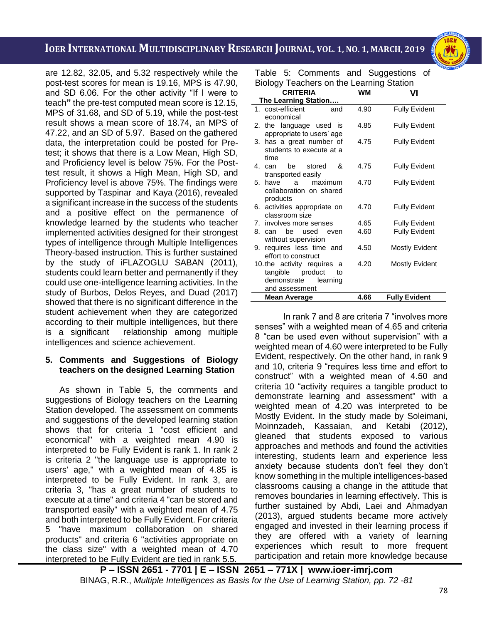i<br>I are 12.82, 32.05, and 5.32 respectively while the post-test scores for mean is 19.16, MPS is 47.90, and SD 6.06. For the other activity "If I were to teach**"** the pre-test computed mean score is 12.15, MPS of 31.68, and SD of 5.19, while the post-test result shows a mean score of 18.74, an MPS of 47.22, and an SD of 5.97. Based on the gathered data, the interpretation could be posted for Pretest; it shows that there is a Low Mean, High SD, and Proficiency level is below 75%. For the Posttest result, it shows a High Mean, High SD, and Proficiency level is above 75%. The findings were supported by Taspinar and Kaya (2016), revealed a significant increase in the success of the students and a positive effect on the permanence of knowledge learned by the students who teacher implemented activities designed for their strongest types of intelligence through Multiple Intelligences Theory-based instruction. This is further sustained by the study of iFLAZOGLU SABAN (2011), students could learn better and permanently if they could use one-intelligence learning activities. In the study of Burbos, Delos Reyes, and Duad (2017) showed that there is no significant difference in the student achievement when they are categorized according to their multiple intelligences, but there is a significant relationship among multiple intelligences and science achievement.

#### **5. Comments and Suggestions of Biology teachers on the designed Learning Station**

As shown in Table 5, the comments and suggestions of Biology teachers on the Learning Station developed. The assessment on comments and suggestions of the developed learning station shows that for criteria 1 "cost efficient and economical" with a weighted mean 4.90 is interpreted to be Fully Evident is rank 1. In rank 2 is criteria 2 "the language use is appropriate to users' age," with a weighted mean of 4.85 is interpreted to be Fully Evident. In rank 3, are criteria 3, "has a great number of students to execute at a time" and criteria 4 "can be stored and transported easily" with a weighted mean of 4.75 and both interpreted to be Fully Evident. For criteria 5 "have maximum collaboration on shared products" and criteria 6 "activities appropriate on the class size" with a weighted mean of 4.70 interpreted to be Fully Evident are tied in rank 5.5.

Table 5: Comments and Suggestions of Biology Teachers on the Learning Station

|    | <b>CRITERIA</b>                                                                                    | <b>WM</b> | VI                    |
|----|----------------------------------------------------------------------------------------------------|-----------|-----------------------|
|    | The Learning Station                                                                               |           |                       |
|    | 1. cost-efficient<br>and<br>economical                                                             | 4.90      | <b>Fully Evident</b>  |
| 2. | the language used is<br>appropriate to users' age                                                  | 4.85      | <b>Fully Evident</b>  |
|    | 3. has a great number of<br>students to execute at a<br>time                                       | 4.75      | <b>Fully Evident</b>  |
|    | 4. can<br>be stored<br>&<br>transported easily                                                     | 4.75      | <b>Fully Evident</b>  |
| 5. | have<br>maximum<br>a<br>collaboration on shared<br>products                                        | 4.70      | <b>Fully Evident</b>  |
|    | 6. activities appropriate on<br>classroom size                                                     | 4.70      | <b>Fully Evident</b>  |
|    | 7. involves more senses                                                                            | 4.65      | <b>Fully Evident</b>  |
|    | 8. can<br>he l<br>used<br>even<br>without supervision                                              | 4.60      | <b>Fully Evident</b>  |
| 9. | requires less time and<br>effort to construct                                                      | 4.50      | <b>Mostly Evident</b> |
|    | 10. the activity requires a<br>tangible product<br>to<br>demonstrate<br>learning<br>and assessment | 4.20      | <b>Mostly Evident</b> |
|    | Mean Average                                                                                       | 4.66      | <b>Fully Evident</b>  |

In rank 7 and 8 are criteria 7 "involves more senses" with a weighted mean of 4.65 and criteria 8 "can be used even without supervision" with a weighted mean of 4.60 were interpreted to be Fully Evident, respectively. On the other hand, in rank 9 and 10, criteria 9 "requires less time and effort to construct" with a weighted mean of 4.50 and criteria 10 "activity requires a tangible product to demonstrate learning and assessment" with a weighted mean of 4.20 was interpreted to be Mostly Evident. In the study made by Soleimani, Moinnzadeh, Kassaian, and Ketabi (2012), gleaned that students exposed to various approaches and methods and found the activities interesting, students learn and experience less anxiety because students don't feel they don't know something in the multiple intelligences-based classrooms causing a change in the attitude that removes boundaries in learning effectively. This is further sustained by Abdi, Laei and Ahmadyan (2013), argued students became more actively engaged and invested in their learning process if they are offered with a variety of learning experiences which result to more frequent participation and retain more knowledge because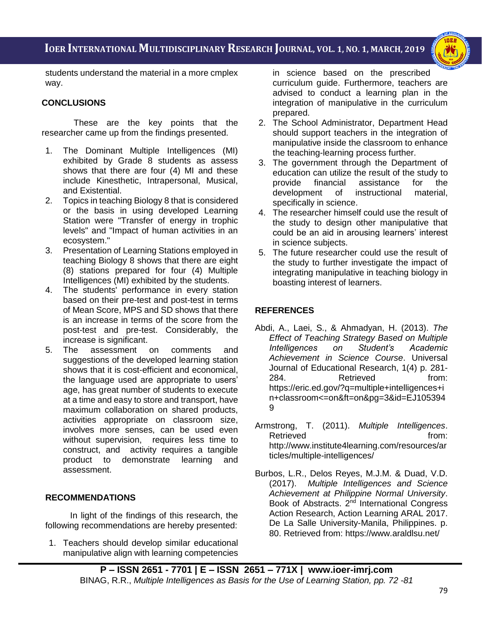i<br>I



students understand the material in a more cmplex way.

### **CONCLUSIONS**

These are the key points that the researcher came up from the findings presented.

- 1. The Dominant Multiple Intelligences (MI) exhibited by Grade 8 students as assess shows that there are four (4) MI and these include Kinesthetic, Intrapersonal, Musical, and Existential.
- 2. Topics in teaching Biology 8 that is considered or the basis in using developed Learning Station were "Transfer of energy in trophic levels" and "Impact of human activities in an ecosystem."
- 3. Presentation of Learning Stations employed in teaching Biology 8 shows that there are eight (8) stations prepared for four (4) Multiple Intelligences (MI) exhibited by the students.
- 4. The students' performance in every station based on their pre-test and post-test in terms of Mean Score, MPS and SD shows that there is an increase in terms of the score from the post-test and pre-test. Considerably, the increase is significant.
- 5. The assessment on comments and suggestions of the developed learning station shows that it is cost-efficient and economical, the language used are appropriate to users' age, has great number of students to execute at a time and easy to store and transport, have maximum collaboration on shared products, activities appropriate on classroom size, involves more senses, can be used even without supervision, requires less time to construct, and activity requires a tangible product to demonstrate learning and assessment.

### **RECOMMENDATIONS**

In light of the findings of this research, the following recommendations are hereby presented:

1. Teachers should develop similar educational manipulative align with learning competencies

in science based on the prescribed curriculum guide. Furthermore, teachers are advised to conduct a learning plan in the integration of manipulative in the curriculum prepared.

- 2. The School Administrator, Department Head should support teachers in the integration of manipulative inside the classroom to enhance the teaching-learning process further.
- 3. The government through the Department of education can utilize the result of the study to provide financial assistance for the development of instructional material, specifically in science.
- 4. The researcher himself could use the result of the study to design other manipulative that could be an aid in arousing learners' interest in science subjects.
- 5. The future researcher could use the result of the study to further investigate the impact of integrating manipulative in teaching biology in boasting interest of learners.

## **REFERENCES**

- Abdi, A., Laei, S., & Ahmadyan, H. (2013). *The Effect of Teaching Strategy Based on Multiple Intelligences on Student's Academic Achievement in Science Course*. Universal Journal of Educational Research, 1(4) p. 281- 284. Retrieved from: [https://eric.ed.gov/?q=multiple+intelligences+i](https://eric.ed.gov/?q=multiple+intelligences+in+classroom%3c=on&ft=on&pg=3&id=EJ1053949) [n+classroom<=on&ft=on&pg=3&id=EJ105394](https://eric.ed.gov/?q=multiple+intelligences+in+classroom%3c=on&ft=on&pg=3&id=EJ1053949) [9](https://eric.ed.gov/?q=multiple+intelligences+in+classroom%3c=on&ft=on&pg=3&id=EJ1053949)
- Armstrong, T. (2011). *Multiple Intelligences*. Retrieved **from:** [http://www.institute4learning.com/resources/ar](http://www.institute4learning.com/resources/articles/multiple-intelligences/) [ticles/multiple-intelligences/](http://www.institute4learning.com/resources/articles/multiple-intelligences/)
- Burbos, L.R., Delos Reyes, M.J.M. & Duad, V.D. (2017). *Multiple Intelligences and Science Achievement at Philippine Normal University*. Book of Abstracts. 2<sup>nd</sup> International Congress Action Research, Action Learning ARAL 2017. De La Salle University-Manila, Philippines. p. 80. Retrieved from:<https://www.araldlsu.net/>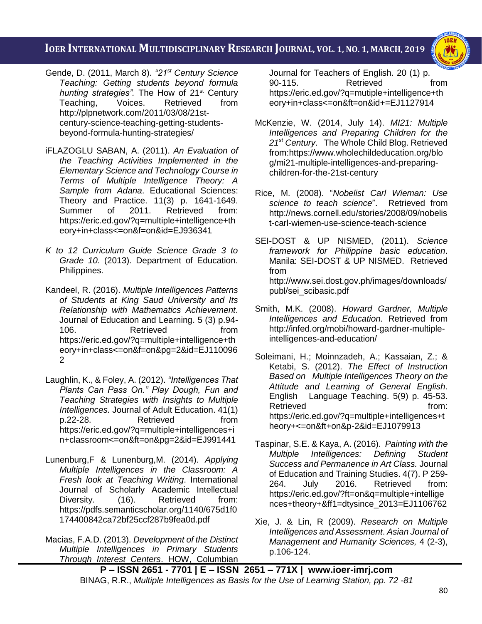i<br>I



- Gende, D. (2011, March 8). *"21st Century Science Teaching: Getting students beyond formula hunting strategies".* The How of 21st Century Teaching, Voices. Retrieved from [http://plpnetwork.com/2011/03/08/21st](http://plpnetwork.com/2011/03/08/21st-century-science-teaching-getting-students-beyond-formula-hunting-strategies/)[century-science-teaching-getting-students](http://plpnetwork.com/2011/03/08/21st-century-science-teaching-getting-students-beyond-formula-hunting-strategies/)[beyond-formula-hunting-strategies/](http://plpnetwork.com/2011/03/08/21st-century-science-teaching-getting-students-beyond-formula-hunting-strategies/)
- iFLAZOGLU SABAN, A. (2011). *An Evaluation of the Teaching Activities Implemented in the Elementary Science and Technology Course in Terms of Multiple Intelligence Theory: A Sample from Adana*. Educational Sciences: Theory and Practice. 11(3) p. 1641-1649. Summer of 2011. Retrieved from: [https://eric.ed.gov/?q=multiple+intelligence+th](https://eric.ed.gov/?q=multiple+intelligence+theory+in+class%3c=on&f=on&id=EJ936341) [eory+in+class<=on&f=on&id=EJ936341](https://eric.ed.gov/?q=multiple+intelligence+theory+in+class%3c=on&f=on&id=EJ936341)
- *K to 12 Curriculum Guide Science Grade 3 to Grade 10.* (2013). Department of Education. Philippines.
- Kandeel, R. (2016). *Multiple Intelligences Patterns of Students at King Saud University and Its Relationship with Mathematics Achievement*. Journal of Education and Learning. 5 (3) p.94- 106. Retrieved from [https://eric.ed.gov/?q=multiple+intelligence+th](https://eric.ed.gov/?q=multiple+intelligence+theory+in+class%3c=on&f=on&pg=2&id=EJ1100962) [eory+in+class<=on&f=on&pg=2&id=EJ110096](https://eric.ed.gov/?q=multiple+intelligence+theory+in+class%3c=on&f=on&pg=2&id=EJ1100962) [2](https://eric.ed.gov/?q=multiple+intelligence+theory+in+class%3c=on&f=on&pg=2&id=EJ1100962)
- Laughlin, K., & Foley, A. (2012). *"Intelligences That Plants Can Pass On." Play Dough, Fun and Teaching Strategies with Insights to Multiple Intelligences.* Journal of Adult Education. 41(1) p.22-28. Retrieved from [https://eric.ed.gov/?q=multiple+intelligences+i](https://eric.ed.gov/?q=multiple+intelligences+in+classroom%3c=on&ft=on&pg=2&id=EJ991441) [n+classroom<=on&ft=on&pg=2&id=EJ991441](https://eric.ed.gov/?q=multiple+intelligences+in+classroom%3c=on&ft=on&pg=2&id=EJ991441)
- Lunenburg,F & Lunenburg,M. (2014). *Applying Multiple Intelligences in the Classroom: A Fresh look at Teaching Writing*. International Journal of Scholarly Academic Intellectual Diversity. (16). Retrieved from: [https://pdfs.semanticscholar.org/1140/675d1f0](https://pdfs.semanticscholar.org/1140/675d1f0174400842ca72bf25ccf287b9fea0d.pdf) [174400842ca72bf25ccf287b9fea0d.pdf](https://pdfs.semanticscholar.org/1140/675d1f0174400842ca72bf25ccf287b9fea0d.pdf)
- Macias, F.A.D. (2013). *Development of the Distinct Multiple Intelligences in Primary Students Through Interest Centers*. HOW, Columbian

Journal for Teachers of English. 20 (1) p. 90-115. Retrieved from [https://eric.ed.gov/?q=mutiple+intelligence+th](https://eric.ed.gov/?q=mutiple+intelligence+theory+in+class%3c=on&ft=on&id+=EJ1127914) [eory+in+class<=on&ft=on&id+=EJ1127914](https://eric.ed.gov/?q=mutiple+intelligence+theory+in+class%3c=on&ft=on&id+=EJ1127914)

- McKenzie, W. (2014, July 14). *MI21: Multiple Intelligences and Preparing Children for the 21st Century*. The Whole Child Blog. Retrieved from[:https://www.wholechildeducation.org/blo](https://www.wholechildeducation.org/blog/mi21-multiple-intelligences-and-preparing-children-for-the-21st-century) [g/mi21-multiple-intelligences-and-preparing](https://www.wholechildeducation.org/blog/mi21-multiple-intelligences-and-preparing-children-for-the-21st-century)[children-for-the-21st-century](https://www.wholechildeducation.org/blog/mi21-multiple-intelligences-and-preparing-children-for-the-21st-century)
- Rice, M. (2008). "*Nobelist Carl Wieman: Use science to teach science*". Retrieved from [http://news.cornell.edu/stories/2008/09/nobelis](http://news.cornell.edu/stories/2008/09/nobelist-carl-wiemen-use-science-teach-science) [t-carl-wiemen-use-science-teach-science](http://news.cornell.edu/stories/2008/09/nobelist-carl-wiemen-use-science-teach-science)
- SEI-DOST & UP NISMED, (2011). *Science framework for Philippine basic education*. Manila: SEI-DOST & UP NISMED. Retrieved from [http://www.sei.dost.gov.ph/images/downloads/](http://www.sei.dost.gov.ph/images/downloads/publ/sei_scibasic.pdf) [publ/sei\\_scibasic.pdf](http://www.sei.dost.gov.ph/images/downloads/publ/sei_scibasic.pdf)
- Smith, M.K. (2008). *Howard Gardner, Multiple Intelligences and Education.* Retrieved from [http://infed.org/mobi/howard-gardner-multiple](http://infed.org/mobi/howard-gardner-multiple-intelligences-and-education/)[intelligences-and-education/](http://infed.org/mobi/howard-gardner-multiple-intelligences-and-education/)
- Soleimani, H.; Moinnzadeh, A.; Kassaian, Z.; & Ketabi, S. (2012). *The Effect of Instruction Based on Multiple Intelligences Theory on the Attitude and Learning of General English*. English Language Teaching. 5(9) p. 45-53. Retrieved from: [https://eric.ed.gov/?q=multiple+intelligences+t](https://eric.ed.gov/?q=multiple+intelligences+theory+%3c=on&ft+on&p-2&id=EJ1079913) [heory+<=on&ft+on&p-2&id=EJ1079913](https://eric.ed.gov/?q=multiple+intelligences+theory+%3c=on&ft+on&p-2&id=EJ1079913)
- Taspinar, S.E. & Kaya, A. (2016). *Painting with the Multiple Intelligences: Defining Student Success and Permanence in Art Class.* Journal of Education and Training Studies. 4(7). P 259- 264. July 2016. Retrieved from: [https://eric.ed.gov/?ft=on&q=multiple+intellige](https://eric.ed.gov/?ft=on&q=multiple+intelligences+theory+&ff1=dtysince_2013=EJ1106762) [nces+theory+&ff1=dtysince\\_2013=EJ1106762](https://eric.ed.gov/?ft=on&q=multiple+intelligences+theory+&ff1=dtysince_2013=EJ1106762)
- Xie, J. & Lin, R (2009). *Research on Multiple Intelligences and Assessment*. *Asian Journal of Management and Humanity Sciences,* 4 (2-3), p.106-124.